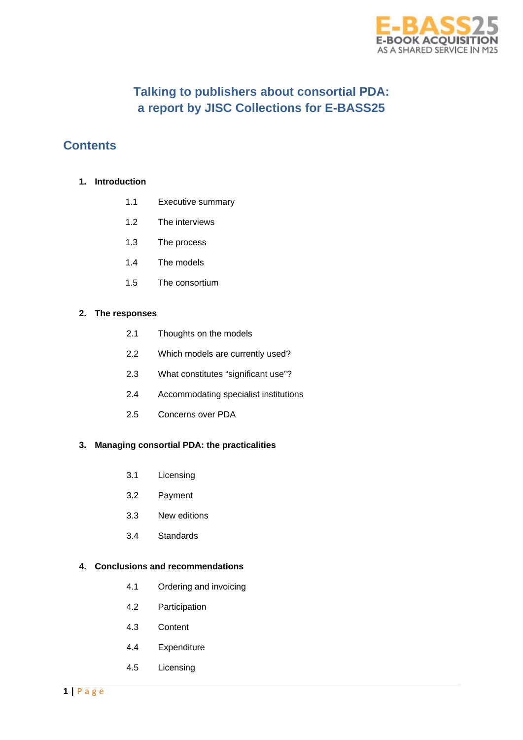

# **Talking to publishers about consortial PDA: a report by JISC Collections for E-BASS25**

## **Contents**

### **1. Introduction**

- 1.1 Executive summary
- 1.2 The interviews
- 1.3 The process
- 1.4 The models
- 1.5 The consortium

### **2. The responses**

- 2.1 Thoughts on the models
- 2.2 Which models are currently used?
- 2.3 What constitutes "significant use"?
- 2.4 Accommodating specialist institutions
- 2.5 Concerns over PDA

## **3. Managing consortial PDA: the practicalities**

- 3.1 Licensing
- 3.2 Payment
- 3.3 New editions
- 3.4 Standards

## **4. Conclusions and recommendations**

- 4.1 Ordering and invoicing
- 4.2 Participation
- 4.3 Content
- 4.4 Expenditure
- 4.5 Licensing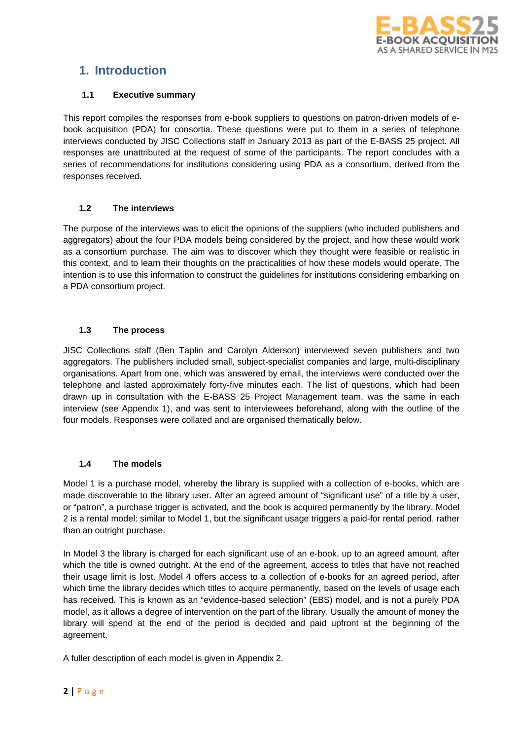

# **1. Introduction**

### **1.1 Executive summary**

This report compiles the responses from e-book suppliers to questions on patron-driven models of ebook acquisition (PDA) for consortia. These questions were put to them in a series of telephone interviews conducted by JISC Collections staff in January 2013 as part of the E-BASS 25 project. All responses are unattributed at the request of some of the participants. The report concludes with a series of recommendations for institutions considering using PDA as a consortium, derived from the responses received.

## **1.2 The interviews**

The purpose of the interviews was to elicit the opinions of the suppliers (who included publishers and aggregators) about the four PDA models being considered by the project, and how these would work as a consortium purchase. The aim was to discover which they thought were feasible or realistic in this context, and to learn their thoughts on the practicalities of how these models would operate. The intention is to use this information to construct the guidelines for institutions considering embarking on a PDA consortium project.

## **1.3 The process**

JISC Collections staff (Ben Taplin and Carolyn Alderson) interviewed seven publishers and two aggregators. The publishers included small, subject-specialist companies and large, multi-disciplinary organisations. Apart from one, which was answered by email, the interviews were conducted over the telephone and lasted approximately forty-five minutes each. The list of questions, which had been drawn up in consultation with the E-BASS 25 Project Management team, was the same in each interview (see Appendix 1), and was sent to interviewees beforehand, along with the outline of the four models. Responses were collated and are organised thematically below.

## **1.4 The models**

Model 1 is a purchase model, whereby the library is supplied with a collection of e-books, which are made discoverable to the library user. After an agreed amount of "significant use" of a title by a user, or "patron", a purchase trigger is activated, and the book is acquired permanently by the library. Model 2 is a rental model: similar to Model 1, but the significant usage triggers a paid-for rental period, rather than an outright purchase.

In Model 3 the library is charged for each significant use of an e-book, up to an agreed amount, after which the title is owned outright. At the end of the agreement, access to titles that have not reached their usage limit is lost. Model 4 offers access to a collection of e-books for an agreed period, after which time the library decides which titles to acquire permanently, based on the levels of usage each has received. This is known as an "evidence-based selection" (EBS) model, and is not a purely PDA model, as it allows a degree of intervention on the part of the library. Usually the amount of money the library will spend at the end of the period is decided and paid upfront at the beginning of the agreement.

A fuller description of each model is given in Appendix 2.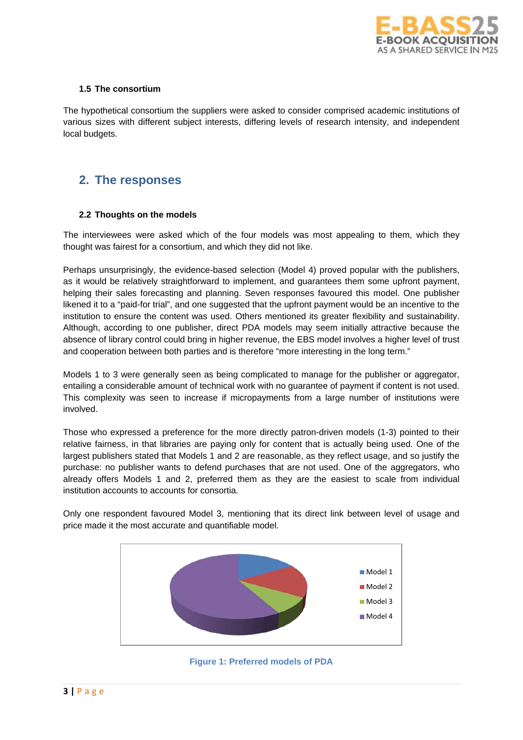

### **1.5 The consortium**

The hypothetical consortium the suppliers were asked to consider comprised academic institutions of various sizes with different subject interests, differing levels of research intensity, and independent local budgets.

## **2. The responses**

### **2.2 Thoughts on the models**

The interviewees were asked which of the four models was most appealing to them, which they thought was fairest for a consortium, and which they did not like.

Perhaps unsurprisingly, the evidence-based selection (Model 4) proved popular with the publishers, as it would be relatively straightforward to implement, and guarantees them some upfront payment, helping their sales forecasting and planning. Seven responses favoured this model. One publisher likened it to a "paid-for trial", and one suggested that the upfront payment would be an incentive to the institution to ensure the content was used. Others mentioned its greater flexibility and sustainability. Although, according to one publisher, direct PDA models may seem initially attractive because the absence of library control could bring in higher revenue, the EBS model involves a higher level of trust and cooperation between both parties and is therefore "more interesting in the long term."

Models 1 to 3 were generally seen as being complicated to manage for the publisher or aggregator, entailing a considerable amount of technical work with no guarantee of payment if content is not used. This complexity was seen to increase if micropayments from a large number of institutions were involved.

Those who expressed a preference for the more directly patron-driven models (1-3) pointed to their relative fairness, in that libraries are paying only for content that is actually being used. One of the largest publishers stated that Models 1 and 2 are reasonable, as they reflect usage, and so justify the purchase: no publisher wants to defend purchases that are not used. One of the aggregators, who already offers Models 1 and 2, preferred them as they are the easiest to scale from individual institution accounts to accounts for consortia.

Only one respondent favoured Model 3, mentioning that its direct link between level of usage and price made it the most accurate and quantifiable model.



**Figure 1: Preferred models of PDA**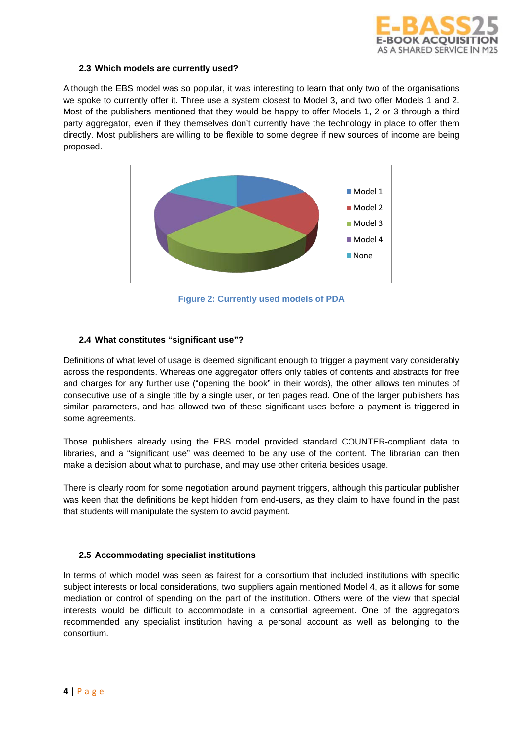

### **2.3 Which models are currently used?**

Although the EBS model was so popular, it was interesting to learn that only two of the organisations we spoke to currently offer it. Three use a system closest to Model 3, and two offer Models 1 and 2. Most of the publishers mentioned that they would be happy to offer Models 1, 2 or 3 through a third party aggregator, even if they themselves don't currently have the technology in place to offer them directly. Most publishers are willing to be flexible to some degree if new sources of income are being proposed.



**Figure 2: Currently used models of PDA**

### **2.4 What constitutes "significant use"?**

Definitions of what level of usage is deemed significant enough to trigger a payment vary considerably across the respondents. Whereas one aggregator offers only tables of contents and abstracts for free and charges for any further use ("opening the book" in their words), the other allows ten minutes of consecutive use of a single title by a single user, or ten pages read. One of the larger publishers has similar parameters, and has allowed two of these significant uses before a payment is triggered in some agreements.

Those publishers already using the EBS model provided standard COUNTER-compliant data to libraries, and a "significant use" was deemed to be any use of the content. The librarian can then make a decision about what to purchase, and may use other criteria besides usage.

There is clearly room for some negotiation around payment triggers, although this particular publisher was keen that the definitions be kept hidden from end-users, as they claim to have found in the past that students will manipulate the system to avoid payment.

### **2.5 Accommodating specialist institutions**

In terms of which model was seen as fairest for a consortium that included institutions with specific subject interests or local considerations, two suppliers again mentioned Model 4, as it allows for some mediation or control of spending on the part of the institution. Others were of the view that special interests would be difficult to accommodate in a consortial agreement. One of the aggregators recommended any specialist institution having a personal account as well as belonging to the consortium.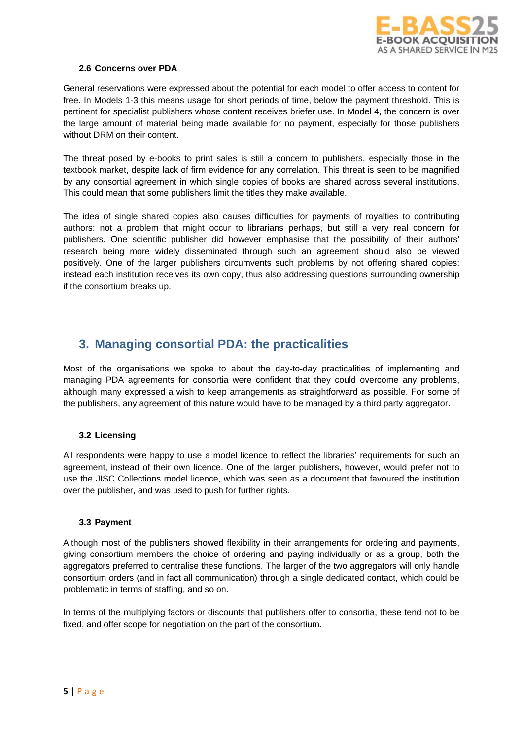

### **2.6 Concerns over PDA**

General reservations were expressed about the potential for each model to offer access to content for free. In Models 1-3 this means usage for short periods of time, below the payment threshold. This is pertinent for specialist publishers whose content receives briefer use. In Model 4, the concern is over the large amount of material being made available for no payment, especially for those publishers without DRM on their content.

The threat posed by e-books to print sales is still a concern to publishers, especially those in the textbook market, despite lack of firm evidence for any correlation. This threat is seen to be magnified by any consortial agreement in which single copies of books are shared across several institutions. This could mean that some publishers limit the titles they make available.

The idea of single shared copies also causes difficulties for payments of royalties to contributing authors: not a problem that might occur to librarians perhaps, but still a very real concern for publishers. One scientific publisher did however emphasise that the possibility of their authors' research being more widely disseminated through such an agreement should also be viewed positively. One of the larger publishers circumvents such problems by not offering shared copies: instead each institution receives its own copy, thus also addressing questions surrounding ownership if the consortium breaks up.

## **3. Managing consortial PDA: the practicalities**

Most of the organisations we spoke to about the day-to-day practicalities of implementing and managing PDA agreements for consortia were confident that they could overcome any problems, although many expressed a wish to keep arrangements as straightforward as possible. For some of the publishers, any agreement of this nature would have to be managed by a third party aggregator.

### **3.2 Licensing**

All respondents were happy to use a model licence to reflect the libraries' requirements for such an agreement, instead of their own licence. One of the larger publishers, however, would prefer not to use the JISC Collections model licence, which was seen as a document that favoured the institution over the publisher, and was used to push for further rights.

### **3.3 Payment**

Although most of the publishers showed flexibility in their arrangements for ordering and payments, giving consortium members the choice of ordering and paying individually or as a group, both the aggregators preferred to centralise these functions. The larger of the two aggregators will only handle consortium orders (and in fact all communication) through a single dedicated contact, which could be problematic in terms of staffing, and so on.

In terms of the multiplying factors or discounts that publishers offer to consortia, these tend not to be fixed, and offer scope for negotiation on the part of the consortium.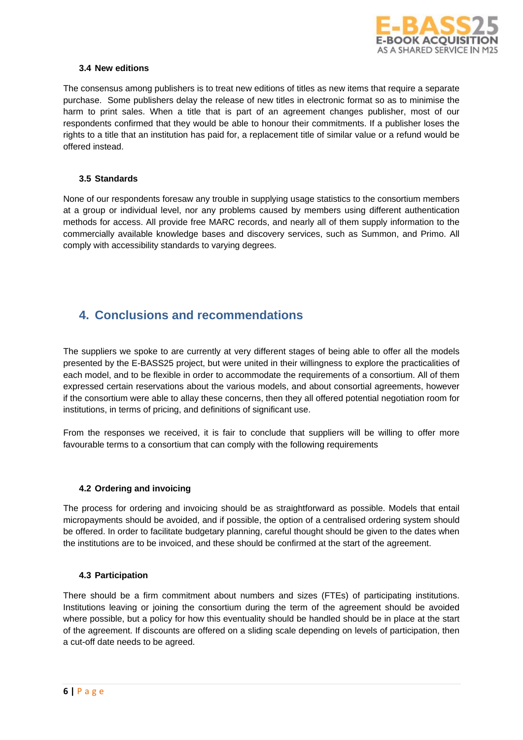

### **3.4 New editions**

The consensus among publishers is to treat new editions of titles as new items that require a separate purchase. Some publishers delay the release of new titles in electronic format so as to minimise the harm to print sales. When a title that is part of an agreement changes publisher, most of our respondents confirmed that they would be able to honour their commitments. If a publisher loses the rights to a title that an institution has paid for, a replacement title of similar value or a refund would be offered instead.

### **3.5 Standards**

None of our respondents foresaw any trouble in supplying usage statistics to the consortium members at a group or individual level, nor any problems caused by members using different authentication methods for access. All provide free MARC records, and nearly all of them supply information to the commercially available knowledge bases and discovery services, such as Summon, and Primo. All comply with accessibility standards to varying degrees.

## **4. Conclusions and recommendations**

The suppliers we spoke to are currently at very different stages of being able to offer all the models presented by the E-BASS25 project, but were united in their willingness to explore the practicalities of each model, and to be flexible in order to accommodate the requirements of a consortium. All of them expressed certain reservations about the various models, and about consortial agreements, however if the consortium were able to allay these concerns, then they all offered potential negotiation room for institutions, in terms of pricing, and definitions of significant use.

From the responses we received, it is fair to conclude that suppliers will be willing to offer more favourable terms to a consortium that can comply with the following requirements

### **4.2 Ordering and invoicing**

The process for ordering and invoicing should be as straightforward as possible. Models that entail micropayments should be avoided, and if possible, the option of a centralised ordering system should be offered. In order to facilitate budgetary planning, careful thought should be given to the dates when the institutions are to be invoiced, and these should be confirmed at the start of the agreement.

### **4.3 Participation**

There should be a firm commitment about numbers and sizes (FTEs) of participating institutions. Institutions leaving or joining the consortium during the term of the agreement should be avoided where possible, but a policy for how this eventuality should be handled should be in place at the start of the agreement. If discounts are offered on a sliding scale depending on levels of participation, then a cut-off date needs to be agreed.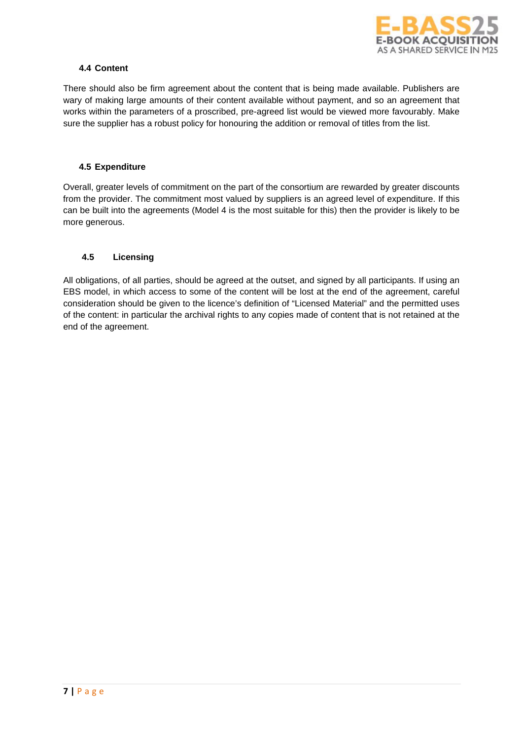

### **4.4 Content**

There should also be firm agreement about the content that is being made available. Publishers are wary of making large amounts of their content available without payment, and so an agreement that works within the parameters of a proscribed, pre-agreed list would be viewed more favourably. Make sure the supplier has a robust policy for honouring the addition or removal of titles from the list.

### **4.5 Expenditure**

Overall, greater levels of commitment on the part of the consortium are rewarded by greater discounts from the provider. The commitment most valued by suppliers is an agreed level of expenditure. If this can be built into the agreements (Model 4 is the most suitable for this) then the provider is likely to be more generous.

### **4.5 Licensing**

All obligations, of all parties, should be agreed at the outset, and signed by all participants. If using an EBS model, in which access to some of the content will be lost at the end of the agreement, careful consideration should be given to the licence's definition of "Licensed Material" and the permitted uses of the content: in particular the archival rights to any copies made of content that is not retained at the end of the agreement.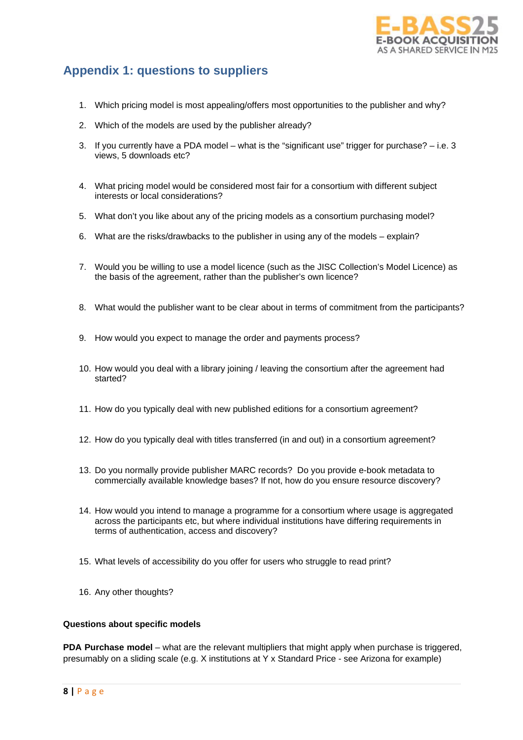

# **Appendix 1: questions to suppliers**

- 1. Which pricing model is most appealing/offers most opportunities to the publisher and why?
- 2. Which of the models are used by the publisher already?
- 3. If you currently have a PDA model what is the "significant use" trigger for purchase?  $-$  i.e. 3 views, 5 downloads etc?
- 4. What pricing model would be considered most fair for a consortium with different subject interests or local considerations?
- 5. What don't you like about any of the pricing models as a consortium purchasing model?
- 6. What are the risks/drawbacks to the publisher in using any of the models explain?
- 7. Would you be willing to use a model licence (such as the JISC Collection's Model Licence) as the basis of the agreement, rather than the publisher's own licence?
- 8. What would the publisher want to be clear about in terms of commitment from the participants?
- 9. How would you expect to manage the order and payments process?
- 10. How would you deal with a library joining / leaving the consortium after the agreement had started?
- 11. How do you typically deal with new published editions for a consortium agreement?
- 12. How do you typically deal with titles transferred (in and out) in a consortium agreement?
- 13. Do you normally provide publisher MARC records? Do you provide e-book metadata to commercially available knowledge bases? If not, how do you ensure resource discovery?
- 14. How would you intend to manage a programme for a consortium where usage is aggregated across the participants etc, but where individual institutions have differing requirements in terms of authentication, access and discovery?
- 15. What levels of accessibility do you offer for users who struggle to read print?
- 16. Any other thoughts?

#### **Questions about specific models**

**PDA Purchase model** – what are the relevant multipliers that might apply when purchase is triggered, presumably on a sliding scale (e.g. X institutions at Y x Standard Price - see Arizona for example)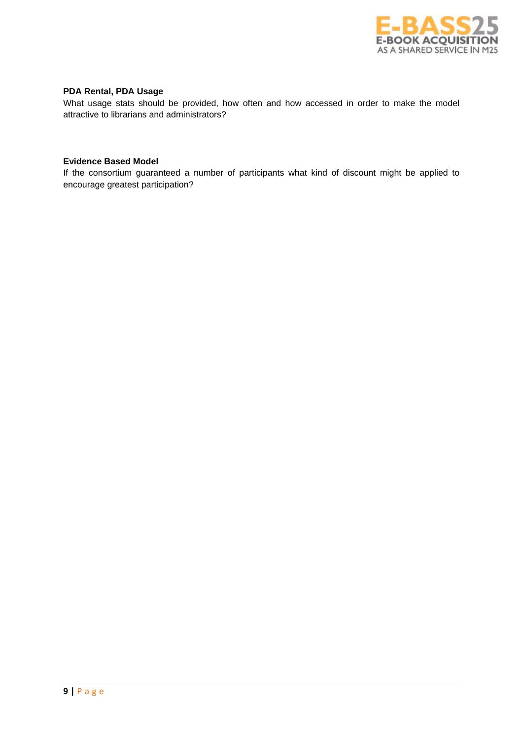

## **PDA Rental, PDA Usage**

What usage stats should be provided, how often and how accessed in order to make the model attractive to librarians and administrators?

### **Evidence Based Model**

If the consortium guaranteed a number of participants what kind of discount might be applied to encourage greatest participation?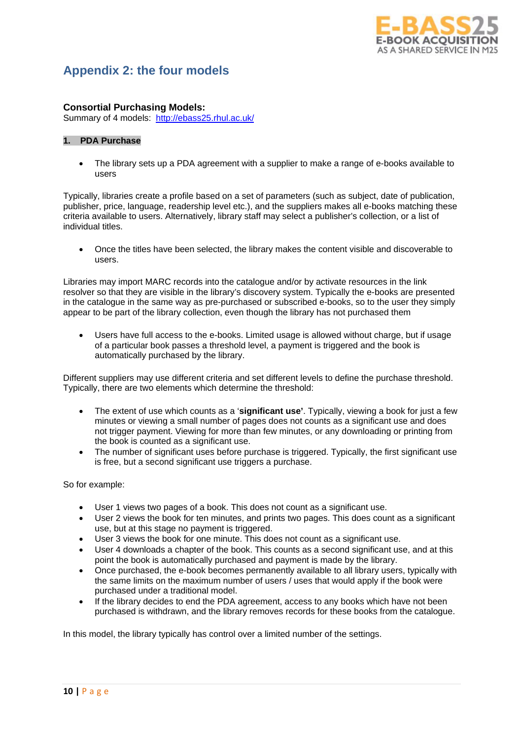

# **Appendix 2: the four models**

### **Consortial Purchasing Models:**

Summary of 4 models: <http://ebass25.rhul.ac.uk/>

### **1. PDA Purchase**

• The library sets up a PDA agreement with a supplier to make a range of e-books available to users

Typically, libraries create a profile based on a set of parameters (such as subject, date of publication, publisher, price, language, readership level etc.), and the suppliers makes all e-books matching these criteria available to users. Alternatively, library staff may select a publisher's collection, or a list of individual titles.

• Once the titles have been selected, the library makes the content visible and discoverable to users.

Libraries may import MARC records into the catalogue and/or by activate resources in the link resolver so that they are visible in the library's discovery system. Typically the e-books are presented in the catalogue in the same way as pre-purchased or subscribed e-books, so to the user they simply appear to be part of the library collection, even though the library has not purchased them

• Users have full access to the e-books. Limited usage is allowed without charge, but if usage of a particular book passes a threshold level, a payment is triggered and the book is automatically purchased by the library.

Different suppliers may use different criteria and set different levels to define the purchase threshold. Typically, there are two elements which determine the threshold:

- The extent of use which counts as a '**significant use'**. Typically, viewing a book for just a few minutes or viewing a small number of pages does not counts as a significant use and does not trigger payment. Viewing for more than few minutes, or any downloading or printing from the book is counted as a significant use.
- The number of significant uses before purchase is triggered. Typically, the first significant use is free, but a second significant use triggers a purchase.

So for example:

- User 1 views two pages of a book. This does not count as a significant use.
- User 2 views the book for ten minutes, and prints two pages. This does count as a significant use, but at this stage no payment is triggered.
- User 3 views the book for one minute. This does not count as a significant use.
- User 4 downloads a chapter of the book. This counts as a second significant use, and at this point the book is automatically purchased and payment is made by the library.
- Once purchased, the e-book becomes permanently available to all library users, typically with the same limits on the maximum number of users / uses that would apply if the book were purchased under a traditional model.
- If the library decides to end the PDA agreement, access to any books which have not been purchased is withdrawn, and the library removes records for these books from the catalogue.

In this model, the library typically has control over a limited number of the settings.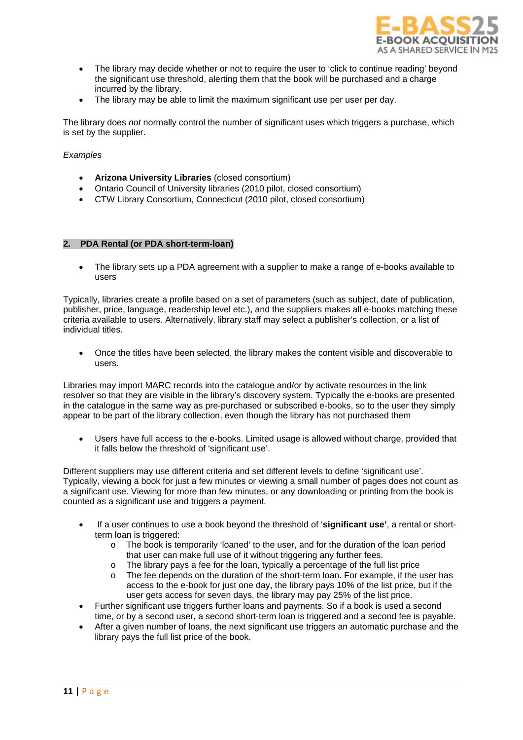

- The library may decide whether or not to require the user to 'click to continue reading' beyond the significant use threshold, alerting them that the book will be purchased and a charge incurred by the library.
- The library may be able to limit the maximum significant use per user per day.

The library does *not* normally control the number of significant uses which triggers a purchase, which is set by the supplier.

### *Examples*

- **Arizona University Libraries** (closed consortium)
- Ontario Council of University libraries (2010 pilot, closed consortium)
- CTW Library Consortium, Connecticut (2010 pilot, closed consortium)

#### **2. PDA Rental (or PDA short-term-loan)**

• The library sets up a PDA agreement with a supplier to make a range of e-books available to users

Typically, libraries create a profile based on a set of parameters (such as subject, date of publication, publisher, price, language, readership level etc.), and the suppliers makes all e-books matching these criteria available to users. Alternatively, library staff may select a publisher's collection, or a list of individual titles.

• Once the titles have been selected, the library makes the content visible and discoverable to users.

Libraries may import MARC records into the catalogue and/or by activate resources in the link resolver so that they are visible in the library's discovery system. Typically the e-books are presented in the catalogue in the same way as pre-purchased or subscribed e-books, so to the user they simply appear to be part of the library collection, even though the library has not purchased them

• Users have full access to the e-books. Limited usage is allowed without charge, provided that it falls below the threshold of 'significant use'.

Different suppliers may use different criteria and set different levels to define 'significant use'. Typically, viewing a book for just a few minutes or viewing a small number of pages does not count as a significant use. Viewing for more than few minutes, or any downloading or printing from the book is counted as a significant use and triggers a payment.

- If a user continues to use a book beyond the threshold of '**significant use'**, a rental or shortterm loan is triggered:
	- o The book is temporarily 'loaned' to the user, and for the duration of the loan period that user can make full use of it without triggering any further fees.
	- $\circ$  The library pays a fee for the loan, typically a percentage of the full list price<br> $\circ$  The fee depends on the duration of the short-term loan. For example, if the u
	- The fee depends on the duration of the short-term loan. For example, if the user has access to the e-book for just one day, the library pays 10% of the list price, but if the user gets access for seven days, the library may pay 25% of the list price.
- Further significant use triggers further loans and payments. So if a book is used a second time, or by a second user, a second short-term loan is triggered and a second fee is payable.
- After a given number of loans, the next significant use triggers an automatic purchase and the library pays the full list price of the book.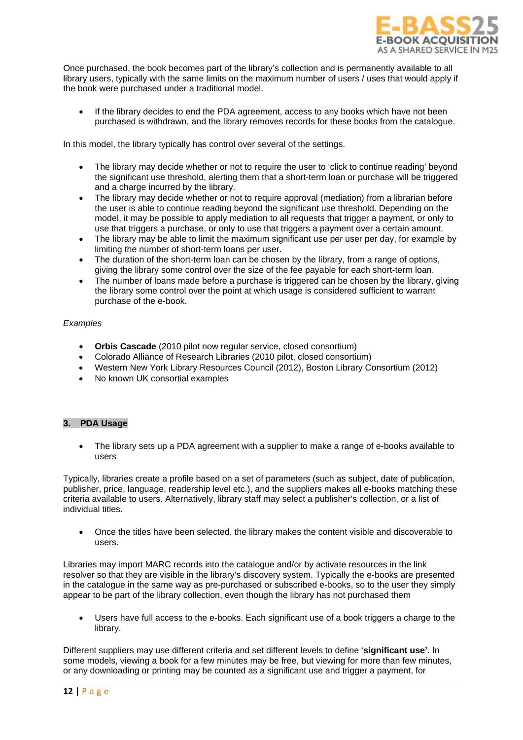

Once purchased, the book becomes part of the library's collection and is permanently available to all library users, typically with the same limits on the maximum number of users / uses that would apply if the book were purchased under a traditional model.

If the library decides to end the PDA agreement, access to any books which have not been purchased is withdrawn, and the library removes records for these books from the catalogue.

In this model, the library typically has control over several of the settings.

- The library may decide whether or not to require the user to 'click to continue reading' beyond the significant use threshold, alerting them that a short-term loan or purchase will be triggered and a charge incurred by the library.
- The library may decide whether or not to require approval (mediation) from a librarian before the user is able to continue reading beyond the significant use threshold. Depending on the model, it may be possible to apply mediation to all requests that trigger a payment, or only to use that triggers a purchase, or only to use that triggers a payment over a certain amount.
- The library may be able to limit the maximum significant use per user per day, for example by limiting the number of short-term loans per user.
- The duration of the short-term loan can be chosen by the library, from a range of options, giving the library some control over the size of the fee payable for each short-term loan.
- The number of loans made before a purchase is triggered can be chosen by the library, giving the library some control over the point at which usage is considered sufficient to warrant purchase of the e-book.

### *Examples*

- **Orbis Cascade** (2010 pilot now regular service, closed consortium)
- Colorado Alliance of Research Libraries (2010 pilot, closed consortium)
- Western New York Library Resources Council (2012), Boston Library Consortium (2012)
- No known UK consortial examples

### **3. PDA Usage**

• The library sets up a PDA agreement with a supplier to make a range of e-books available to users

Typically, libraries create a profile based on a set of parameters (such as subject, date of publication, publisher, price, language, readership level etc.), and the suppliers makes all e-books matching these criteria available to users. Alternatively, library staff may select a publisher's collection, or a list of individual titles.

• Once the titles have been selected, the library makes the content visible and discoverable to users.

Libraries may import MARC records into the catalogue and/or by activate resources in the link resolver so that they are visible in the library's discovery system. Typically the e-books are presented in the catalogue in the same way as pre-purchased or subscribed e-books, so to the user they simply appear to be part of the library collection, even though the library has not purchased them

• Users have full access to the e-books. Each significant use of a book triggers a charge to the library.

Different suppliers may use different criteria and set different levels to define '**significant use'**. In some models, viewing a book for a few minutes may be free, but viewing for more than few minutes, or any downloading or printing may be counted as a significant use and trigger a payment, for